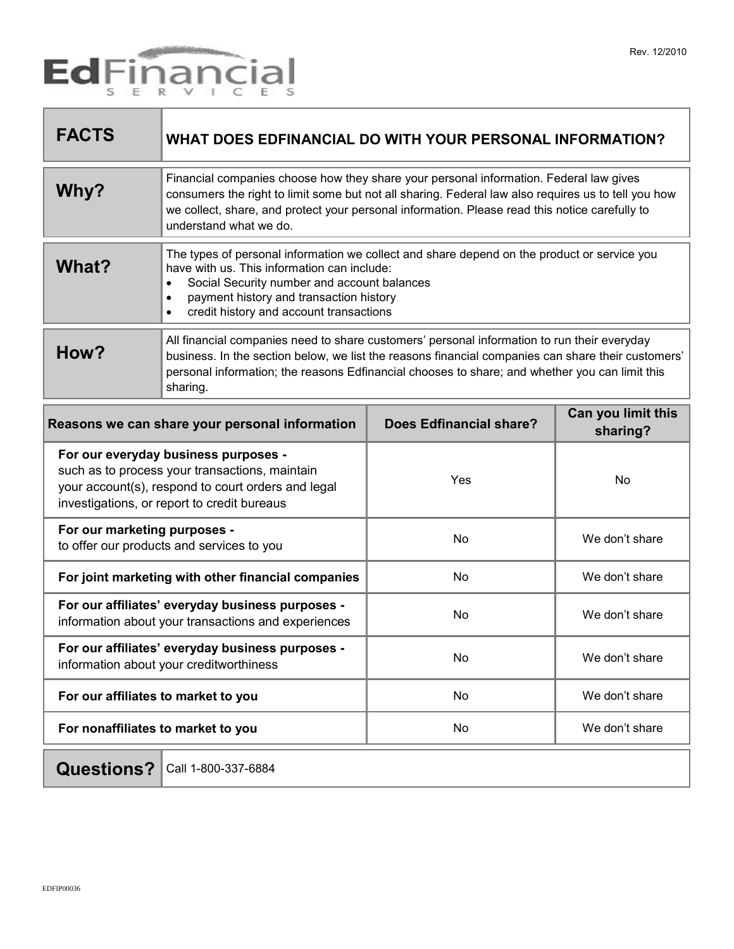

| <b>FACTS</b>                                   | WHAT DOES EDFINANCIAL DO WITH YOUR PERSONAL INFORMATION?                                                                                                                                                                                                                                                                  |                                |                                |
|------------------------------------------------|---------------------------------------------------------------------------------------------------------------------------------------------------------------------------------------------------------------------------------------------------------------------------------------------------------------------------|--------------------------------|--------------------------------|
| Why?                                           | Financial companies choose how they share your personal information. Federal law gives<br>consumers the right to limit some but not all sharing. Federal law also requires us to tell you how<br>we collect, share, and protect your personal information. Please read this notice carefully to<br>understand what we do. |                                |                                |
| What?                                          | The types of personal information we collect and share depend on the product or service you<br>have with us. This information can include:<br>Social Security number and account balances<br>$\bullet$<br>payment history and transaction history<br>$\bullet$<br>credit history and account transactions<br>$\bullet$    |                                |                                |
| How?                                           | All financial companies need to share customers' personal information to run their everyday<br>business. In the section below, we list the reasons financial companies can share their customers'<br>personal information; the reasons Edfinancial chooses to share; and whether you can limit this<br>sharing.           |                                |                                |
| Reasons we can share your personal information |                                                                                                                                                                                                                                                                                                                           | <b>Does Edfinancial share?</b> | Can you limit this<br>aharing? |

| Reasons we can share your personal imomiation                                                                                                                                               | DOBS EQUITATION SHATE! | sharing?       |
|---------------------------------------------------------------------------------------------------------------------------------------------------------------------------------------------|------------------------|----------------|
| For our everyday business purposes -<br>such as to process your transactions, maintain<br>your account(s), respond to court orders and legal<br>investigations, or report to credit bureaus | Yes                    | No             |
| For our marketing purposes -<br>to offer our products and services to you                                                                                                                   | No                     | We don't share |
| For joint marketing with other financial companies                                                                                                                                          | No.                    | We don't share |
| For our affiliates' everyday business purposes -<br>information about your transactions and experiences                                                                                     | No                     | We don't share |
| For our affiliates' everyday business purposes -<br>information about your creditworthiness                                                                                                 | <b>No</b>              | We don't share |
| For our affiliates to market to you                                                                                                                                                         | No                     | We don't share |
| For nonaffiliates to market to you                                                                                                                                                          | <b>No</b>              | We don't share |
|                                                                                                                                                                                             |                        |                |

## **Questions?** Call 1-800-337-6884